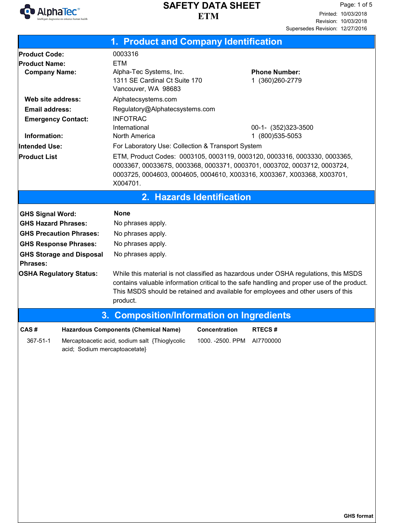

|                                                                                                                                                                                                                 | 1. Product and Company Identification                                                                                                                                       |                                                                                                                                                                                                                                                                             |
|-----------------------------------------------------------------------------------------------------------------------------------------------------------------------------------------------------------------|-----------------------------------------------------------------------------------------------------------------------------------------------------------------------------|-----------------------------------------------------------------------------------------------------------------------------------------------------------------------------------------------------------------------------------------------------------------------------|
| <b>Product Code:</b><br><b>Product Name:</b><br><b>Company Name:</b>                                                                                                                                            | 0003316<br><b>ETM</b><br>Alpha-Tec Systems, Inc.<br>1311 SE Cardinal Ct Suite 170<br>Vancouver, WA 98683                                                                    | <b>Phone Number:</b><br>1 (360) 260-2779                                                                                                                                                                                                                                    |
| Web site address:<br><b>Email address:</b><br><b>Emergency Contact:</b><br>Information:<br><b>Intended Use:</b><br><b>Product List</b>                                                                          | Alphatecsystems.com<br>Regulatory@Alphatecsystems.com<br><b>INFOTRAC</b><br>International<br>North America<br>For Laboratory Use: Collection & Transport System<br>X004701. | 00-1- (352)323-3500<br>1 (800) 535-5053<br>ETM, Product Codes: 0003105, 0003119, 0003120, 0003316, 0003330, 0003365,<br>0003367, 0003367S, 0003368, 0003371, 0003701, 0003702, 0003712, 0003724,<br>0003725, 0004603, 0004605, 0004610, X003316, X003367, X003368, X003701, |
|                                                                                                                                                                                                                 | 2. Hazards Identification                                                                                                                                                   |                                                                                                                                                                                                                                                                             |
| <b>GHS Signal Word:</b><br><b>GHS Hazard Phrases:</b><br><b>GHS Precaution Phrases:</b><br><b>GHS Response Phrases:</b><br><b>GHS Storage and Disposal</b><br><b>Phrases:</b><br><b>OSHA Regulatory Status:</b> | <b>None</b><br>No phrases apply.<br>No phrases apply.<br>No phrases apply.<br>No phrases apply.                                                                             | While this material is not classified as hazardous under OSHA regulations, this MSDS<br>contains valuable information critical to the safe handling and proper use of the product.                                                                                          |
|                                                                                                                                                                                                                 | product.                                                                                                                                                                    | This MSDS should be retained and available for employees and other users of this                                                                                                                                                                                            |
|                                                                                                                                                                                                                 |                                                                                                                                                                             | 3. Composition/Information on Ingredients                                                                                                                                                                                                                                   |
| CAS#<br>367-51-1<br>acid; Sodium mercaptoacetate}                                                                                                                                                               | Hazardous Components (Chemical Name) Concentration<br>Mercaptoacetic acid, sodium salt {Thioglycolic                                                                        | RTECS#<br>1000. - 2500. PPM<br>AI7700000                                                                                                                                                                                                                                    |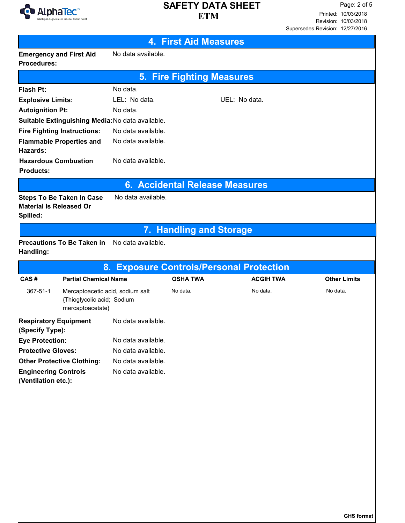

| <b>4. First Aid Measures</b>                                            |                                                                                    |                                                  |                                          |                  |                     |  |
|-------------------------------------------------------------------------|------------------------------------------------------------------------------------|--------------------------------------------------|------------------------------------------|------------------|---------------------|--|
| <b>Emergency and First Aid</b><br>Procedures:                           |                                                                                    | No data available.                               |                                          |                  |                     |  |
| <b>5. Fire Fighting Measures</b>                                        |                                                                                    |                                                  |                                          |                  |                     |  |
| Flash Pt:                                                               |                                                                                    | No data.                                         |                                          |                  |                     |  |
| <b>Explosive Limits:</b>                                                |                                                                                    | LEL: No data.                                    |                                          | UEL: No data.    |                     |  |
| <b>Autoignition Pt:</b>                                                 |                                                                                    | No data.                                         |                                          |                  |                     |  |
|                                                                         |                                                                                    | Suitable Extinguishing Media: No data available. |                                          |                  |                     |  |
| <b>Fire Fighting Instructions:</b>                                      |                                                                                    | No data available.                               |                                          |                  |                     |  |
| <b>Flammable Properties and</b><br>Hazards:                             |                                                                                    | No data available.                               |                                          |                  |                     |  |
| <b>Hazardous Combustion</b><br><b>Products:</b>                         |                                                                                    | No data available.                               |                                          |                  |                     |  |
|                                                                         |                                                                                    |                                                  | <b>6. Accidental Release Measures</b>    |                  |                     |  |
| <b>Steps To Be Taken In Case</b><br>Material Is Released Or<br>Spilled: |                                                                                    | No data available.                               |                                          |                  |                     |  |
|                                                                         |                                                                                    |                                                  | 7. Handling and Storage                  |                  |                     |  |
| Handling:                                                               | <b>Precautions To Be Taken in</b>                                                  | No data available.                               |                                          |                  |                     |  |
|                                                                         |                                                                                    |                                                  | 8. Exposure Controls/Personal Protection |                  |                     |  |
| CAS#                                                                    | <b>Partial Chemical Name</b>                                                       |                                                  | <b>OSHA TWA</b>                          | <b>ACGIH TWA</b> | <b>Other Limits</b> |  |
| 367-51-1                                                                | Mercaptoacetic acid, sodium salt<br>{Thioglycolic acid; Sodium<br>mercaptoacetate} |                                                  | No data.                                 | No data.         | No data.            |  |
| <b>Respiratory Equipment</b><br>(Specify Type):                         |                                                                                    | No data available.                               |                                          |                  |                     |  |
| <b>Eye Protection:</b>                                                  |                                                                                    | No data available.                               |                                          |                  |                     |  |
| <b>Protective Gloves:</b>                                               |                                                                                    | No data available.                               |                                          |                  |                     |  |
| <b>Other Protective Clothing:</b>                                       |                                                                                    | No data available.                               |                                          |                  |                     |  |
| <b>Engineering Controls</b><br>(Ventilation etc.):                      |                                                                                    | No data available.                               |                                          |                  |                     |  |
|                                                                         |                                                                                    |                                                  |                                          |                  |                     |  |
|                                                                         |                                                                                    |                                                  |                                          |                  |                     |  |
|                                                                         |                                                                                    |                                                  |                                          |                  | GHS format          |  |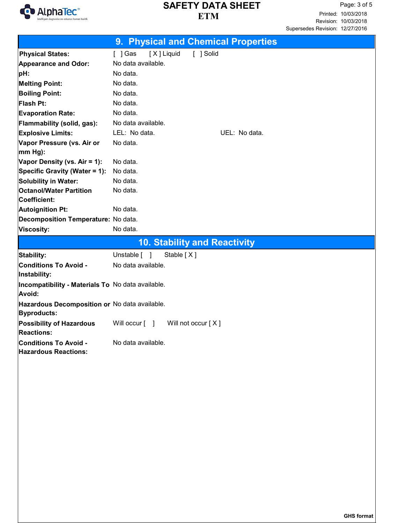

|                                                   | 9. Physical and Chemical Properties  |
|---------------------------------------------------|--------------------------------------|
| <b>Physical States:</b>                           | [X] Liquid<br>[ ] Solid<br>$[$ ] Gas |
| <b>Appearance and Odor:</b>                       | No data available.                   |
| pH:                                               | No data.                             |
| <b>Melting Point:</b>                             | No data.                             |
| <b>Boiling Point:</b>                             | No data.                             |
| Flash Pt:                                         | No data.                             |
| <b>Evaporation Rate:</b>                          | No data.                             |
| Flammability (solid, gas):                        | No data available.                   |
| <b>Explosive Limits:</b>                          | LEL: No data.<br>UEL: No data.       |
| Vapor Pressure (vs. Air or                        | No data.                             |
| $ mm Hg$ :                                        |                                      |
| Vapor Density (vs. Air = 1):                      | No data.                             |
| Specific Gravity (Water = 1):                     | No data.                             |
| <b>Solubility in Water:</b>                       | No data.                             |
| <b>Octanol/Water Partition</b>                    | No data.                             |
| Coefficient:                                      |                                      |
| <b>Autoignition Pt:</b>                           | No data.                             |
| Decomposition Temperature: No data.               |                                      |
| Viscosity:                                        | No data.                             |
|                                                   | <b>10. Stability and Reactivity</b>  |
| Stability:                                        | Unstable [ ]<br>Stable [X]           |
| <b>Conditions To Avoid -</b>                      | No data available.                   |
| Instability:                                      |                                      |
| Incompatibility - Materials To No data available. |                                      |
| Avoid:                                            |                                      |
| Hazardous Decomposition or No data available.     |                                      |
| Byproducts:                                       |                                      |
| Possibility of Hazardous                          | Will occur [ ]<br>Will not occur [X] |
| <b>Reactions:</b>                                 |                                      |
| <b>Conditions To Avoid -</b>                      | No data available.                   |
| <b>Hazardous Reactions:</b>                       |                                      |
|                                                   |                                      |
|                                                   |                                      |
|                                                   |                                      |
|                                                   |                                      |
|                                                   |                                      |
|                                                   |                                      |
|                                                   |                                      |
|                                                   |                                      |
|                                                   |                                      |
|                                                   |                                      |
|                                                   |                                      |
|                                                   |                                      |
|                                                   |                                      |
|                                                   |                                      |
|                                                   |                                      |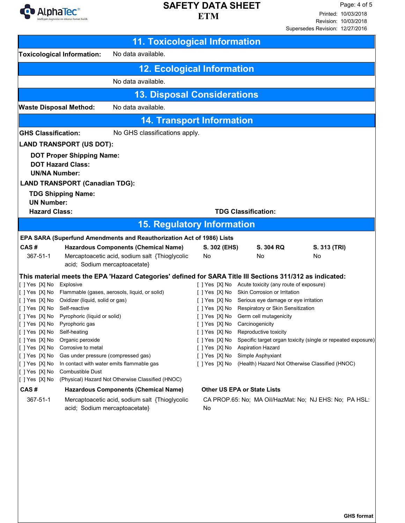

|                                                                                                                                                                                                                    |                                                                                                                                                                                                                                 | <b>11. Toxicological Information</b>                                                                                                                                                                                                                                                                                       |                                  |                                                                                                                                                                                                                                                                                                                                                                                                                                                                                      |                                                                             |
|--------------------------------------------------------------------------------------------------------------------------------------------------------------------------------------------------------------------|---------------------------------------------------------------------------------------------------------------------------------------------------------------------------------------------------------------------------------|----------------------------------------------------------------------------------------------------------------------------------------------------------------------------------------------------------------------------------------------------------------------------------------------------------------------------|----------------------------------|--------------------------------------------------------------------------------------------------------------------------------------------------------------------------------------------------------------------------------------------------------------------------------------------------------------------------------------------------------------------------------------------------------------------------------------------------------------------------------------|-----------------------------------------------------------------------------|
|                                                                                                                                                                                                                    | <b>Toxicological Information:</b>                                                                                                                                                                                               | No data available.                                                                                                                                                                                                                                                                                                         |                                  |                                                                                                                                                                                                                                                                                                                                                                                                                                                                                      |                                                                             |
|                                                                                                                                                                                                                    |                                                                                                                                                                                                                                 | <b>12. Ecological Information</b>                                                                                                                                                                                                                                                                                          |                                  |                                                                                                                                                                                                                                                                                                                                                                                                                                                                                      |                                                                             |
|                                                                                                                                                                                                                    |                                                                                                                                                                                                                                 | No data available.                                                                                                                                                                                                                                                                                                         |                                  |                                                                                                                                                                                                                                                                                                                                                                                                                                                                                      |                                                                             |
|                                                                                                                                                                                                                    |                                                                                                                                                                                                                                 | <b>13. Disposal Considerations</b>                                                                                                                                                                                                                                                                                         |                                  |                                                                                                                                                                                                                                                                                                                                                                                                                                                                                      |                                                                             |
| <b>Waste Disposal Method:</b>                                                                                                                                                                                      |                                                                                                                                                                                                                                 | No data available.                                                                                                                                                                                                                                                                                                         |                                  |                                                                                                                                                                                                                                                                                                                                                                                                                                                                                      |                                                                             |
| <b>14. Transport Information</b>                                                                                                                                                                                   |                                                                                                                                                                                                                                 |                                                                                                                                                                                                                                                                                                                            |                                  |                                                                                                                                                                                                                                                                                                                                                                                                                                                                                      |                                                                             |
| <b>GHS Classification:</b>                                                                                                                                                                                         |                                                                                                                                                                                                                                 | No GHS classifications apply.                                                                                                                                                                                                                                                                                              |                                  |                                                                                                                                                                                                                                                                                                                                                                                                                                                                                      |                                                                             |
|                                                                                                                                                                                                                    | <b>LAND TRANSPORT (US DOT):</b>                                                                                                                                                                                                 |                                                                                                                                                                                                                                                                                                                            |                                  |                                                                                                                                                                                                                                                                                                                                                                                                                                                                                      |                                                                             |
| <b>UN/NA Number:</b><br><b>UN Number:</b>                                                                                                                                                                          | <b>DOT Proper Shipping Name:</b><br><b>DOT Hazard Class:</b><br><b>LAND TRANSPORT (Canadian TDG):</b><br><b>TDG Shipping Name:</b>                                                                                              |                                                                                                                                                                                                                                                                                                                            |                                  |                                                                                                                                                                                                                                                                                                                                                                                                                                                                                      |                                                                             |
|                                                                                                                                                                                                                    | <b>Hazard Class:</b><br><b>TDG Classification:</b>                                                                                                                                                                              |                                                                                                                                                                                                                                                                                                                            |                                  |                                                                                                                                                                                                                                                                                                                                                                                                                                                                                      |                                                                             |
|                                                                                                                                                                                                                    |                                                                                                                                                                                                                                 | <b>15. Regulatory Information</b>                                                                                                                                                                                                                                                                                          |                                  |                                                                                                                                                                                                                                                                                                                                                                                                                                                                                      |                                                                             |
|                                                                                                                                                                                                                    |                                                                                                                                                                                                                                 | EPA SARA (Superfund Amendments and Reauthorization Act of 1986) Lists                                                                                                                                                                                                                                                      |                                  |                                                                                                                                                                                                                                                                                                                                                                                                                                                                                      |                                                                             |
| CAS#<br>367-51-1                                                                                                                                                                                                   | acid; Sodium mercaptoacetate}                                                                                                                                                                                                   | <b>Hazardous Components (Chemical Name)</b><br>Mercaptoacetic acid, sodium salt {Thioglycolic                                                                                                                                                                                                                              | S. 302 (EHS)<br>No               | S. 304 RQ<br>No                                                                                                                                                                                                                                                                                                                                                                                                                                                                      | S. 313 (TRI)<br>No                                                          |
| []Yes [X] No<br>[[ ] Yes [X] No Self-reactive<br>[[ ] Yes [X] No Pyrophoric gas<br> []Yes [X] No<br>[ ] Yes [X] No<br>[ ] Yes [X] No<br>[[] Yes [X] No<br> []Yes [X] No<br> []Yes [X] No<br>[ ] Yes [X] No<br>CAS# | Explosive<br>[[] Yes [X] No Oxidizer (liquid, solid or gas)<br>[ ] Yes [X] No Pyrophoric (liquid or solid)<br>Self-heating<br>Organic peroxide<br>Corrosive to metal<br>Gas under pressure (compressed gas)<br>Combustible Dust | This material meets the EPA 'Hazard Categories' defined for SARA Title III Sections 311/312 as indicated:<br>[ ] Yes [X] No Flammable (gases, aerosols, liquid, or solid)<br>In contact with water emits flammable gas<br>(Physical) Hazard Not Otherwise Classified (HNOC)<br><b>Hazardous Components (Chemical Name)</b> | [ ] Yes [X] No<br>[ ] Yes [X] No | [ ] Yes [X] No Acute toxicity (any route of exposure)<br>[ ] Yes [X] No Skin Corrosion or Irritation<br>[ ] Yes [X] No Serious eye damage or eye irritation<br>[ ] Yes [X] No Respiratory or Skin Sensitization<br>[ ] Yes [X] No Germ cell mutagenicity<br>Carcinogenicity<br>[ ] Yes [X] No Reproductive toxicity<br>[ ] Yes [X] No Aspiration Hazard<br>[ ] Yes [X] No Simple Asphyxiant<br>(Health) Hazard Not Otherwise Classified (HNOC)<br><b>Other US EPA or State Lists</b> | [ ] Yes [X] No Specific target organ toxicity (single or repeated exposure) |
| 367-51-1                                                                                                                                                                                                           |                                                                                                                                                                                                                                 | Mercaptoacetic acid, sodium salt {Thioglycolic                                                                                                                                                                                                                                                                             |                                  |                                                                                                                                                                                                                                                                                                                                                                                                                                                                                      | CA PROP.65: No; MA Oil/HazMat: No; NJ EHS: No; PA HSL:                      |
|                                                                                                                                                                                                                    | acid; Sodium mercaptoacetate}                                                                                                                                                                                                   |                                                                                                                                                                                                                                                                                                                            | No                               |                                                                                                                                                                                                                                                                                                                                                                                                                                                                                      |                                                                             |